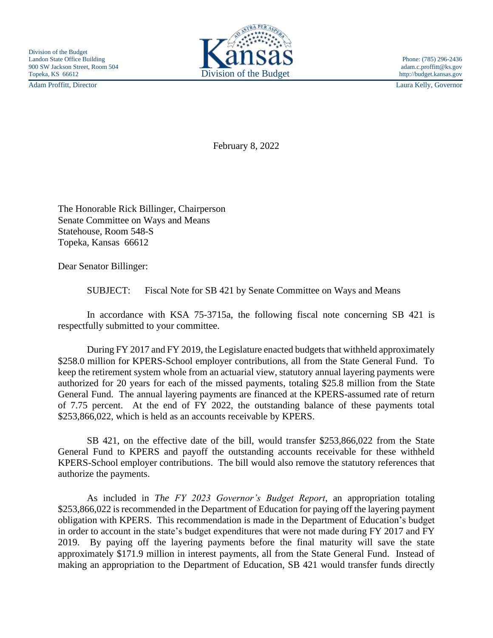Adam Proffitt, Director Laura Kelly, Governor



February 8, 2022

The Honorable Rick Billinger, Chairperson Senate Committee on Ways and Means Statehouse, Room 548-S Topeka, Kansas 66612

Dear Senator Billinger:

SUBJECT: Fiscal Note for SB 421 by Senate Committee on Ways and Means

In accordance with KSA 75-3715a, the following fiscal note concerning SB 421 is respectfully submitted to your committee.

During FY 2017 and FY 2019, the Legislature enacted budgets that withheld approximately \$258.0 million for KPERS-School employer contributions, all from the State General Fund. To keep the retirement system whole from an actuarial view, statutory annual layering payments were authorized for 20 years for each of the missed payments, totaling \$25.8 million from the State General Fund. The annual layering payments are financed at the KPERS-assumed rate of return of 7.75 percent. At the end of FY 2022, the outstanding balance of these payments total \$253,866,022, which is held as an accounts receivable by KPERS.

SB 421, on the effective date of the bill, would transfer \$253,866,022 from the State General Fund to KPERS and payoff the outstanding accounts receivable for these withheld KPERS-School employer contributions. The bill would also remove the statutory references that authorize the payments.

As included in *The FY 2023 Governor's Budget Report*, an appropriation totaling \$253,866,022 is recommended in the Department of Education for paying off the layering payment obligation with KPERS. This recommendation is made in the Department of Education's budget in order to account in the state's budget expenditures that were not made during FY 2017 and FY 2019. By paying off the layering payments before the final maturity will save the state approximately \$171.9 million in interest payments, all from the State General Fund. Instead of making an appropriation to the Department of Education, SB 421 would transfer funds directly